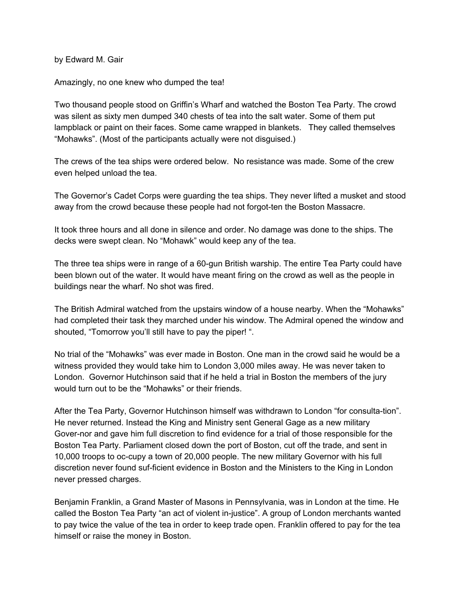by Edward M. Gair

Amazingly, no one knew who dumped the tea!

Two thousand people stood on Griffin's Wharf and watched the Boston Tea Party. The crowd was silent as sixty men dumped 340 chests of tea into the salt water. Some of them put lampblack or paint on their faces. Some came wrapped in blankets. They called themselves "Mohawks". (Most of the participants actually were not disguised.)

The crews of the tea ships were ordered below. No resistance was made. Some of the crew even helped unload the tea.

The Governor's Cadet Corps were guarding the tea ships. They never lifted a musket and stood away from the crowd because these people had not forgot-ten the Boston Massacre.

It took three hours and all done in silence and order. No damage was done to the ships. The decks were swept clean. No "Mohawk" would keep any of the tea.

The three tea ships were in range of a 60-gun British warship. The entire Tea Party could have been blown out of the water. It would have meant firing on the crowd as well as the people in buildings near the wharf. No shot was fired.

The British Admiral watched from the upstairs window of a house nearby. When the "Mohawks" had completed their task they marched under his window. The Admiral opened the window and shouted, "Tomorrow you'll still have to pay the piper!".

No trial of the "Mohawks" was ever made in Boston. One man in the crowd said he would be a witness provided they would take him to London 3,000 miles away. He was never taken to London. Governor Hutchinson said that if he held a trial in Boston the members of the jury would turn out to be the "Mohawks" or their friends.

After the Tea Party, Governor Hutchinson himself was withdrawn to London "for consulta-tion". He never returned. Instead the King and Ministry sent General Gage as a new military Gover-nor and gave him full discretion to find evidence for a trial of those responsible for the Boston Tea Party. Parliament closed down the port of Boston, cut off the trade, and sent in 10,000 troops to oc-cupy a town of 20,000 people. The new military Governor with his full discretion never found suf-ficient evidence in Boston and the Ministers to the King in London never pressed charges.

Benjamin Franklin, a Grand Master of Masons in Pennsylvania, was in London at the time. He called the Boston Tea Party "an act of violent in-justice". A group of London merchants wanted to pay twice the value of the tea in order to keep trade open. Franklin offered to pay for the tea himself or raise the money in Boston.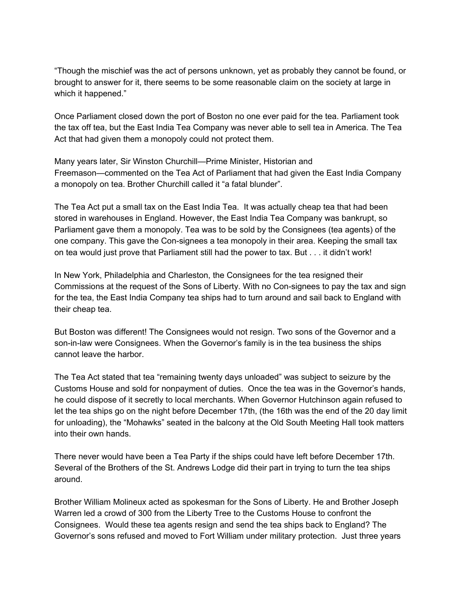"Though the mischief was the act of persons unknown, yet as probably they cannot be found, or brought to answer for it, there seems to be some reasonable claim on the society at large in which it happened."

Once Parliament closed down the port of Boston no one ever paid for the tea. Parliament took the tax off tea, but the East India Tea Company was never able to sell tea in America. The Tea Act that had given them a monopoly could not protect them.

Many years later, Sir Winston Churchill—Prime Minister, Historian and Freemason—commented on the Tea Act of Parliament that had given the East India Company a monopoly on tea. Brother Churchill called it "a fatal blunder".

The Tea Act put a small tax on the East India Tea. It was actually cheap tea that had been stored in warehouses in England. However, the East India Tea Company was bankrupt, so Parliament gave them a monopoly. Tea was to be sold by the Consignees (tea agents) of the one company. This gave the Con-signees a tea monopoly in their area. Keeping the small tax on tea would just prove that Parliament still had the power to tax. But . . . it didn't work!

In New York, Philadelphia and Charleston, the Consignees for the tea resigned their Commissions at the request of the Sons of Liberty. With no Con-signees to pay the tax and sign for the tea, the East India Company tea ships had to turn around and sail back to England with their cheap tea.

But Boston was different! The Consignees would not resign. Two sons of the Governor and a son-in-law were Consignees. When the Governor's family is in the tea business the ships cannot leave the harbor.

The Tea Act stated that tea "remaining twenty days unloaded" was subject to seizure by the Customs House and sold for nonpayment of duties. Once the tea was in the Governor's hands, he could dispose of it secretly to local merchants. When Governor Hutchinson again refused to let the tea ships go on the night before December 17th, (the 16th was the end of the 20 day limit for unloading), the "Mohawks" seated in the balcony at the Old South Meeting Hall took matters into their own hands.

There never would have been a Tea Party if the ships could have left before December 17th. Several of the Brothers of the St. Andrews Lodge did their part in trying to turn the tea ships around.

Brother William Molineux acted as spokesman for the Sons of Liberty. He and Brother Joseph Warren led a crowd of 300 from the Liberty Tree to the Customs House to confront the Consignees. Would these tea agents resign and send the tea ships back to England? The Governor's sons refused and moved to Fort William under military protection. Just three years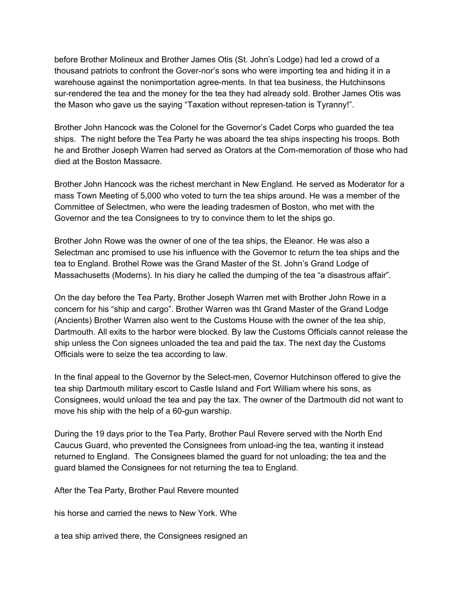before Brother Molineux and Brother James Otis (St. John's Lodge) had led a crowd of a thousand patriots to confront the Gover-nor's sons who were importing tea and hiding it in a warehouse against the nonimportation agree-ments. In that tea business, the Hutchinsons sur-rendered the tea and the money for the tea they had already sold. Brother James Otis was the Mason who gave us the saying "Taxation without represen-tation is Tyranny!".

Brother John Hancock was the Colonel for the Governor's Cadet Corps who guarded the tea ships. The night before the Tea Party he was aboard the tea ships inspecting his troops. Both he and Brother Joseph Warren had served as Orators at the Com-memoration of those who had died at the Boston Massacre.

Brother John Hancock was the richest merchant in New England. He served as Moderator for a mass Town Meeting of 5,000 who voted to turn the tea ships around. He was a member of the Committee of Selectmen, who were the leading tradesmen of Boston, who met with the Governor and the tea Consignees to try to convince them to let the ships go.

Brother John Rowe was the owner of one of the tea ships, the Eleanor. He was also a Selectman anc promised to use his influence with the Governor tc return the tea ships and the tea to England. Brothel Rowe was the Grand Master of the St. John's Grand Lodge of Massachusetts (Moderns). In his diary he called the dumping of the tea "a disastrous affair".

On the day before the Tea Party, Brother Joseph Warren met with Brother John Rowe in a concern for his "ship and cargo". Brother Warren was tht Grand Master of the Grand Lodge (Ancients) Brother Warren also went to the Customs House with the owner of the tea ship, Dartmouth. All exits to the harbor were blocked. By law the Customs Officials cannot release the ship unless the Con signees unloaded the tea and paid the tax. The next day the Customs Officials were to seize the tea according to law.

In the final appeal to the Governor by the Select-men, Covernor Hutchinson offered to give the tea ship Dartmouth military escort to Castle Island and Fort William where his sons, as Consignees, would unload the tea and pay the tax. The owner of the Dartmouth did not want to move his ship with the help of a 60-gun warship.

During the 19 days prior to the Tea Party, Brother Paul Revere served with the North End Caucus Guard, who prevented the Consignees from unload-ing the tea, wanting it instead returned to England. The Consignees blamed the guard for not unloading; the tea and the guard blamed the Consignees for not returning the tea to England.

After the Tea Party, Brother Paul Revere mounted

his horse and carried the news to New York. Whe

a tea ship arrived there, the Consignees resigned an